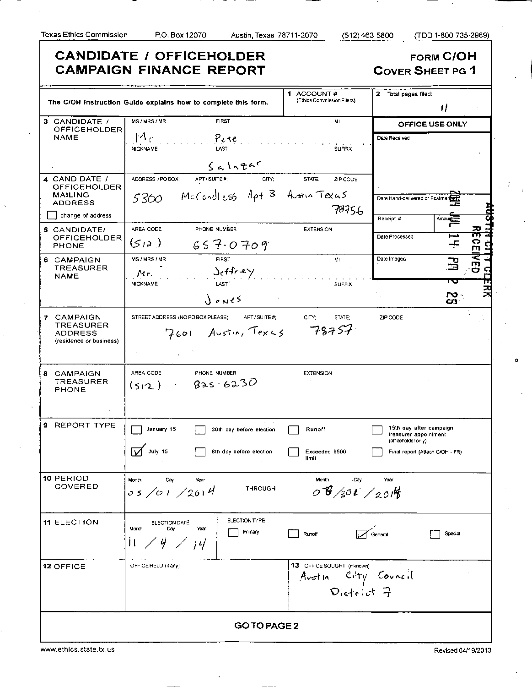**CANDIDATE / OFFICEHOLDER FORM C/OH CAMPAIGN FINANCE REPORT COVER SHEET PG 1** 1 ACCOUNT # 2 Total pages filed: (Ethics Commission Filers) **The C/OH Instruction Guide explains how to complete this form.**  1/ MS/MRS/MR FIRST **OFFIC E USE ONLY**  3 CANDIDATE / **OFFICEHOLDER**  $M_C$ **NAME** Pere Date Received NICKNAME **SUFFIX** LAST  $64.19787$ <br>ADDRESS/PO BOX; APT/SUITE#; CITY; STATE: ZIP CODE 4 CANDIDATE / **OFFICEHOLDER** McCondless Apt B Austin Texus **MAILING** 5360 Date Hand-delivered or Postmar ADDRESS 78756 **I** change of address Receipt # <u>ዋ</u> Amount 5 CANDIDATE/ AREA CODE PHONE NUMBER **EXTENSION o**  Date Processed **OFFICEHOLDER**  $(512)$  $657 - 0709$ PHONE MS/MRS/MR FIRST MI Date Imaged 6 CAMPAIGN  $\mathbf{E}$ **TREASURER**  $\frac{\text{det} \mathcal{L}}{\text{dist}}$ **o CI**   $Mr$ **NAME**  $\vec{H}$  . **NICKNAME** 5C  $\mathbf{E}$  $\log$ 7 CAMPAIGN STREET ADDRESS (NO PO BOX PLEASE); APT / SUITE #: CITY: STATE: ZIP CODE **TREASURER** 78757 Z601 Austin, Texis ADDRESS (residence or business) 8 CAMPAIGN AREA CODE PHONE NUMBER EXTENSION / **TREASURER**  $825 - 6230$  $(s_{12})$ PHONE 9 REPORT TYPE | January 15 | 30th day before election | Runoff | | 15th day after campaign treasurer appointment (officeholder only) July 15 | 8th day before election | Exceeded \$500 | Final report (Attach C/OH - FR) limit **10 PERIOD** Month Month Day -Day Year **COVERED** THROUGH  $0.6/301/20.19$  $05 / 01 / 2014$ ELECTION TYPE 11 ELECTION **ELECTION** ELECTION DATE Month Day Year **I** Primary **Find Runoff** Runoff **Contact Contact Reserve I** Special ÌΙ Ч  $|l|$ 12 OFFICE **OFFICE HELD (if any)**  $\begin{matrix} 13 & 9 & 9 & 10 \\ 14 & 13 & 0 & 10 \\ 0 & 0 & 0 & 1 \end{matrix}$   $\begin{matrix} 14 & 14 & 16 & 16 \\ 0 & 0 & 14 & 16 \\ 0 & 0 & 0 & 1 \end{matrix}$  $D_{\text{left}}$  of 7 **GOTOPAGE2**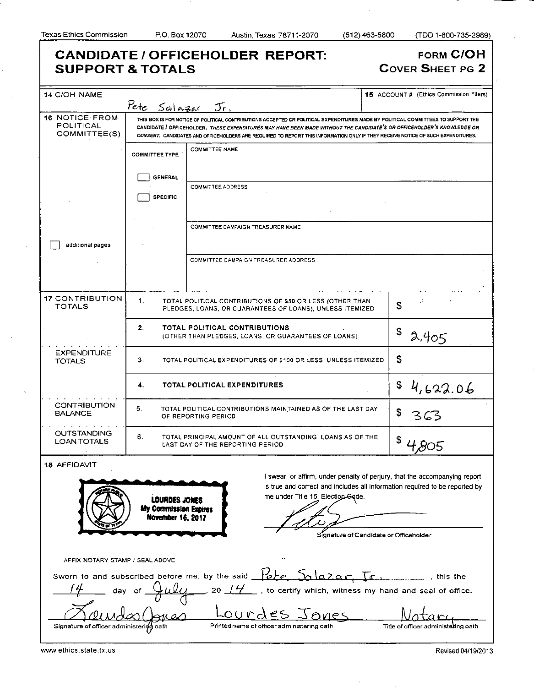| <b>SUPPORT &amp; TOTALS</b>                                                                                                                                                                                                                                                                                                    |                                   | <b>CANDIDATE / OFFICEHOLDER REPORT:</b>                                                                                                                                                                                                                                                                                                                                                       | FORM C/OH<br><b>COVER SHEET PG 2</b>           |  |  |
|--------------------------------------------------------------------------------------------------------------------------------------------------------------------------------------------------------------------------------------------------------------------------------------------------------------------------------|-----------------------------------|-----------------------------------------------------------------------------------------------------------------------------------------------------------------------------------------------------------------------------------------------------------------------------------------------------------------------------------------------------------------------------------------------|------------------------------------------------|--|--|
| 14 C/OH NAME                                                                                                                                                                                                                                                                                                                   |                                   |                                                                                                                                                                                                                                                                                                                                                                                               | <b>15</b> ACCOUNT # (Ethics Commission Filers) |  |  |
|                                                                                                                                                                                                                                                                                                                                | Pete Salazar                      | $\mathcal{T}_{t}$ .                                                                                                                                                                                                                                                                                                                                                                           |                                                |  |  |
| <b>16 NOTICE FROM</b><br>POLITICAL<br>COMMITTEE(S)                                                                                                                                                                                                                                                                             |                                   | THIS BOX IS FOR NOTICE OF POLITICAL CONTRIBUTIONS ACCEPTED OR POLITICAL EXPENDITURES MADE BY POLITICAL COMMITTEES TO SUPPORT THE<br>CANDIDATE / OFFICEHOLDER. THESE EXPENDITURES MAY HAVE BEEN MADE WITHOUT THE CANDIDATE'S OR OFFICEHOLDER'S KNOWLEDGE OR<br>CONSENT. CANDIDATES AND OFFICEHOLDERS ARE REQUIRED TO REPORT THIS INFORMATION ONLY IF THEY RECEIVE NOTICE OF SUCH EXPENDITURES. |                                                |  |  |
|                                                                                                                                                                                                                                                                                                                                | <b>COMMITTEE TYPE</b>             | <b>COMMITTEE NAME</b>                                                                                                                                                                                                                                                                                                                                                                         |                                                |  |  |
|                                                                                                                                                                                                                                                                                                                                | <b>GENERAL</b><br><b>SPECIFIC</b> | <b>COMMITTEE ADDRESS</b>                                                                                                                                                                                                                                                                                                                                                                      |                                                |  |  |
|                                                                                                                                                                                                                                                                                                                                |                                   | COMMITTEE CAMPAIGN TREASURER NAME                                                                                                                                                                                                                                                                                                                                                             |                                                |  |  |
| additional pages                                                                                                                                                                                                                                                                                                               |                                   | COMMITTEE CAMPAIGN TREASURER ADDRESS                                                                                                                                                                                                                                                                                                                                                          |                                                |  |  |
| <b>17 CONTRIBUTION</b><br><b>TOTALS</b>                                                                                                                                                                                                                                                                                        | 1.                                | TOTAL POLITICAL CONTRIBUTIONS OF \$50 OR LESS (OTHER THAN<br>PLEDGES, LOANS, OR GUARANTEES OF LOANS), UNLESS ITEMIZED                                                                                                                                                                                                                                                                         | <b>S</b>                                       |  |  |
|                                                                                                                                                                                                                                                                                                                                | 2.                                | TOTAL POLITICAL CONTRIBUTIONS<br>(OTHER THAN PLEDGES, LOANS, OR GUARANTEES OF LOANS)                                                                                                                                                                                                                                                                                                          | \$<br>2.405                                    |  |  |
| <b>EXPENDITURE</b><br><b>TOTALS</b>                                                                                                                                                                                                                                                                                            | З.                                | TOTAL POLITICAL EXPENDITURES OF \$100 OR LESS, UNLESS ITEMIZED                                                                                                                                                                                                                                                                                                                                | \$                                             |  |  |
|                                                                                                                                                                                                                                                                                                                                | 4.                                | TOTAL POLITICAL EXPENDITURES                                                                                                                                                                                                                                                                                                                                                                  | \$<br>4,622.06                                 |  |  |
| <b>CONTRIBUTION</b><br><b>BALANCE</b>                                                                                                                                                                                                                                                                                          | 5.                                | TOTAL POLITICAL CONTRIBUTIONS MAINTAINED AS OF THE LAST DAY<br>OF REPORTING PERIOD                                                                                                                                                                                                                                                                                                            |                                                |  |  |
| OUTSTANDING<br><b>LOAN TOTALS</b>                                                                                                                                                                                                                                                                                              | 6.                                | TOTAL PRINCIPAL AMOUNT OF ALL OUTSTANDING LOANS AS OF THE<br>LAST DAY OF THE REPORTING PERIOD                                                                                                                                                                                                                                                                                                 | \$                                             |  |  |
| 18 AFFIDAVIT<br>I swear, or affirm, under penalty of perjury, that the accompanying report<br>is true and correct and includes all information required to be reported by<br>me under Title 15, Election-Gode.<br>LOURDES JONES<br>My Commission Expires<br><b>November 16, 2017</b><br>Signature of Candidate or Officeholder |                                   |                                                                                                                                                                                                                                                                                                                                                                                               |                                                |  |  |
| AFFIX NOTARY STAMP / SEAL ABOVE                                                                                                                                                                                                                                                                                                |                                   |                                                                                                                                                                                                                                                                                                                                                                                               |                                                |  |  |
|                                                                                                                                                                                                                                                                                                                                |                                   | Sworn to and subscribed before me, by the said $\frac{1}{100}$ $\frac{1}{100}$ $\frac{1}{100}$ , $\frac{1}{100}$ , this the<br>, to certify which, witness my hand and seal of office.<br>20 $14$<br>Lourdes Jones                                                                                                                                                                            |                                                |  |  |
| Signature of officer administering oath                                                                                                                                                                                                                                                                                        |                                   | Printed name of officer administering oath                                                                                                                                                                                                                                                                                                                                                    | Title of officer administering oath            |  |  |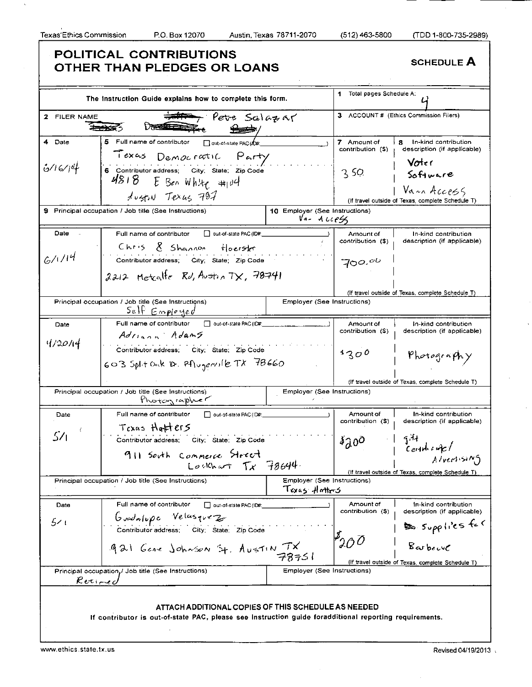$\hat{u}_i$ 

 $\hat{\boldsymbol{\beta}}$ 

٦

|                         | The Instruction Guide explains how to complete this form.                                                                                                                     |                                              | 1 Total pages Schedule A:                                    |                                                                                             |
|-------------------------|-------------------------------------------------------------------------------------------------------------------------------------------------------------------------------|----------------------------------------------|--------------------------------------------------------------|---------------------------------------------------------------------------------------------|
| <b>FILER NAME</b><br>2. | Pete Salazar                                                                                                                                                                  |                                              | з.                                                           | ACCOUNT # (Ethics Commission Filers)                                                        |
| 4 Date<br>6/16/14       | 5 Full name of contributor<br>out-of-state PAC (ID#:<br>Texas Democratic Party<br>6 Contributor address; City; State; Zip Code<br>$4818$ E Ben White #104<br>HUSTIN TEXUS 797 |                                              | 7 Amount of<br>contribution (S)<br>350                       | я<br>In-kind contribution<br>description (if applicable)<br>Voter<br>Software<br>Van Access |
|                         | 9 Principal occupation / Job title (See Instructions)                                                                                                                         | 10 Employer (See Instructions)<br>Var Aue4   |                                                              | (If travel outside of Texas, complete Schedule T)                                           |
| Date<br>6/1/14          | Full name of contributor<br>out-of-state PAC (ID#.<br>Chris & Shannon Hoerster                                                                                                |                                              | Amount of<br>contribution (\$)                               | In-kind contribution<br>description (if applicable)                                         |
|                         | Contributor address; City; State; Zip Code<br>$2212$ Metcalle Rd, Austral TX, 78741                                                                                           |                                              | 700.00                                                       |                                                                                             |
|                         | Principal occupation / Job title (See Instructions)<br>Self Employed                                                                                                          | Employer (See Instructions)                  |                                                              | (If travel outside of Texas, complete Schedule T)                                           |
| Date<br>4,2014          | Full name of contributor<br>out-of-state PAC (ID#:<br>Adriana Adams                                                                                                           |                                              | Amount of<br>contribution (\$)                               | In-kind contribution<br>description (if applicable)                                         |
|                         | Contributor address, City; State; Zip Code<br>603 Split Oak D. Aligerville TX 78660                                                                                           |                                              | 1300                                                         | Photography                                                                                 |
|                         | Principal occupation / Job title (See Instructions)<br>Photographer                                                                                                           | Employer (See Instructions)                  |                                                              | (If travel outside of Texas, complete Schedule T)                                           |
| Date<br>54              | Full name of contributor<br>out-of-state PAC (ID#:<br>Texas Hatters<br>Contributor address; City; State; Zip Code                                                             |                                              | Amount of<br>contribution (\$)<br>$\delta \partial^{\alpha}$ | In-kind contribution<br>description (if applicable)<br>$\frac{1}{3}$<br>$c$ entities of $c$ |
|                         | 911 South Commerce Street<br>Lookhart $Tx$ 78644.<br>Principal occupation / Job title (See Instructions)                                                                      | Employer (See Instructions)<br>Texas Hotters |                                                              | Alvertising<br>(If travel outside of Texas, complete Schedule T)                            |
| Date<br>ا خ             | Full name of contributor<br>out-of-state PAC (ID#:<br>Gudnlupe Velasquez<br>Contributor address; City; State; Zip Code                                                        |                                              | Amount of<br>contribution (\$)                               | In-kind contribution<br>description (if applicable)                                         |
|                         | 921 Gene Johnson St. AUSTIN TX                                                                                                                                                |                                              | $P_{200}$                                                    | So Supplies for<br>(If travel outside of Texas, complete Schedule T)                        |
|                         | Principal occupation,/ Job title (See Instructions)<br>$R$ eti $-$ eo                                                                                                         | Employer (See Instructions)                  |                                                              |                                                                                             |
|                         | ATTACH ADDITIONAL COPIES OF THIS SCHEDULE AS NEEDED<br>If contributor is out-of-state PAC, please see instruction guide foradditional reporting requirements.                 |                                              |                                                              |                                                                                             |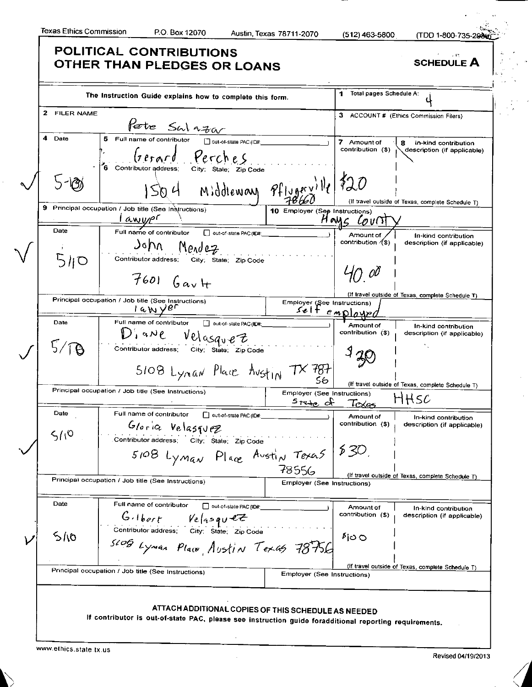$\lambda$ 

 $\mathcal{L}$ 

 $\hat{\alpha}$ 

|              | The Instruction Guide explains how to complete this form.                                      |                                            | Total pages Schedule A:<br>1.  |                                                     |
|--------------|------------------------------------------------------------------------------------------------|--------------------------------------------|--------------------------------|-----------------------------------------------------|
| 2 FILER NAME |                                                                                                |                                            |                                | 3 ACCOUNT # (Ethics Commission Filers)              |
|              | <b>Pete</b> SW $n\rightarrow\infty$<br>5 Full name of contributor $\Box$ out-of-state PAC(ID#. |                                            |                                |                                                     |
| 4 Date       |                                                                                                |                                            | 7 Amount of                    | 8<br>In-kind contribution                           |
|              | Gerard Perches<br>6 Contributor address;<br>City; State; Zip Code                              |                                            | contribution (\$)              | description (if applicable)                         |
|              | $1504$ Middleway $9f_{1.9}$ erville $120$                                                      |                                            |                                |                                                     |
| 9.           | Principal occupation / Job title (See Instructions)                                            | 10 Employer (See Instructions)             |                                | (If travel outside of Texas, complete Schedule T)   |
|              |                                                                                                |                                            | HOMS COVIT                     |                                                     |
| Date         | out-of-state PAC (ID#:                                                                         |                                            | Amount of                      | In-kind contribution                                |
|              | John Mendez                                                                                    |                                            | contribution $($ \$)           | description (if applicable)                         |
| 510          | Contributor address;<br>City; State; Zip Code                                                  |                                            |                                |                                                     |
|              |                                                                                                |                                            | 4N 00                          |                                                     |
|              | $7601$ $G_{av}$ +                                                                              |                                            |                                |                                                     |
|              |                                                                                                |                                            |                                | (if travel outside of Texas, complete Schedule T)   |
|              | Principal occupation / Job title (See Instructions)<br>$1a$ Wyer                               | Employer (See Instructions)                |                                |                                                     |
|              |                                                                                                | selt employe                               |                                |                                                     |
| Date         | Full name of contributor<br>out-of-state PAC (ID#:                                             |                                            | Amount of<br>contribution (\$) | In-kind contribution                                |
|              | $D'$ , ane<br>Velasquez                                                                        |                                            |                                | description (if applicable)                         |
|              | Contributor address; City; State; Zip Code                                                     |                                            |                                |                                                     |
|              |                                                                                                |                                            |                                |                                                     |
|              | 5108 Lynan Place Austin TX 787                                                                 |                                            |                                |                                                     |
|              | Principal occupation / Job title (See Instructions)                                            |                                            |                                | (If travel outside of Texas, complete Schedule T)   |
|              |                                                                                                | Employer (See Instructions)<br>$5$ rate of | $T_{\alpha\alpha\beta}$        | HHSC                                                |
| Date         | Full name of contributor<br>□ out-of-state PAC (ID#:                                           |                                            |                                |                                                     |
|              | Gloria Velasquez                                                                               |                                            | Amount of<br>contribution (\$) | In-kind contribution<br>description (if applicable) |
| 510          |                                                                                                |                                            |                                |                                                     |
|              | utor address; City; State; Zip Code                                                            |                                            |                                |                                                     |
|              | 5108 Lyman Place Austin Texas 530.                                                             |                                            |                                |                                                     |
|              |                                                                                                | 78556                                      |                                |                                                     |
|              | Principal occupation / Job title (See Instructions)                                            | <b>Employer (See Instructions)</b>         |                                | (If travel outside of Texas, complete Schedule T)   |
|              |                                                                                                |                                            |                                |                                                     |
| Date         | Full name of contributor<br>out-of-state PAC (ID#:                                             |                                            | Amount of<br>contribution (\$) | In-kind contribution                                |
|              | $G\cdot$ lbert Velasquez                                                                       |                                            |                                | description (if applicable)                         |
| 5/10         | Contributor address; City; State; Zip Code                                                     |                                            | ∮io O                          |                                                     |
|              | SLOG Lyman Place Austin Texas 78756                                                            |                                            |                                |                                                     |
|              |                                                                                                |                                            |                                |                                                     |
|              | Principal occupation / Job title (See Instructions)                                            | Employer (See Instructions)                |                                | (If travel outside of Texas, complete Schedule T)   |
|              |                                                                                                |                                            |                                |                                                     |
|              |                                                                                                |                                            |                                |                                                     |
|              | ATTACH ADDITIONAL COPIES OF THIS SCHEDULE AS NEEDED                                            |                                            |                                |                                                     |
|              |                                                                                                |                                            |                                |                                                     |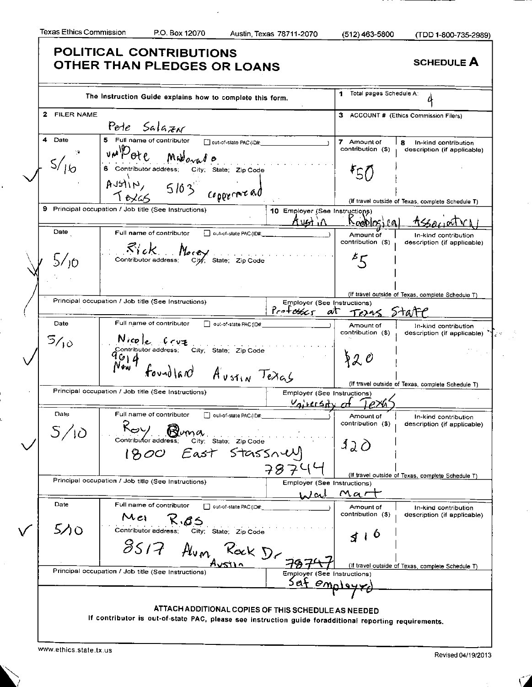ï

۱.

|                                   | The Instruction Guide explains how to complete this form.                                                                                               |                                                   | Total pages Schedule A:<br>1   |                                                                   |
|-----------------------------------|---------------------------------------------------------------------------------------------------------------------------------------------------------|---------------------------------------------------|--------------------------------|-------------------------------------------------------------------|
| $\mathbf{z}$<br><b>FILER NAME</b> |                                                                                                                                                         |                                                   |                                | 3 ACCOUNT # (Ethics Commission Filers)                            |
|                                   | Pete Salazar                                                                                                                                            |                                                   |                                |                                                                   |
| 4 Date                            | 5 Full name of contributor and out-of-state PAC (ID#                                                                                                    |                                                   | 7 Amount of                    | 8<br>In-kind contribution                                         |
|                                   | un Pote Madovado                                                                                                                                        |                                                   | contribution (\$)              | description (if applicable)                                       |
| S/16                              | 6 Contributor address; City; State; Zip Code<br>Austin, 5103 copperment<br>7826                                                                         |                                                   | 50                             |                                                                   |
|                                   | 9 Principal occupation / Job title (See Instructions)                                                                                                   | 10 Employer (See Instructions)                    |                                | (If travel outside of Texas, complete Schedule T)                 |
| Date                              | Full name of contributor   out-of-slate PAC (ID#:                                                                                                       | $A$ ust $\Lambda$                                 | Novidios i pa                  |                                                                   |
|                                   | $R'cR$<br>Contributor address: City; State; Zip Code                                                                                                    |                                                   | Amount of<br>contribution (\$) | In-kind contribution<br>description (if applicable)               |
| 5/10                              |                                                                                                                                                         |                                                   | $\overline{\mathcal{E}}$       |                                                                   |
|                                   |                                                                                                                                                         |                                                   |                                | (If travel outside of Texas, complete Schedule T)                 |
|                                   | Principal occupation / Job title (See Instructions)                                                                                                     | Employer (See Instructions)                       |                                |                                                                   |
|                                   |                                                                                                                                                         | $Prof$ osser                                      | at <i>Teras</i> State          |                                                                   |
| Date<br>5/10                      | Full name of contributor<br>out-of-state PAC (ID#:                                                                                                      |                                                   | Amount of<br>contribution (\$) | In-kind contribution<br>description (if applicable) <sup>74</sup> |
|                                   | $N$ $i$ $c$ $e$ $i$ $r$ $v$ $z$<br>Contributor address; city; state; zip Code<br>$P$ $\downarrow$ $P$<br>$N$ $\downarrow$ $r$<br>foundland Austin Texas |                                                   | 820                            |                                                                   |
|                                   |                                                                                                                                                         |                                                   |                                | (If travel outside of Texas, complete Schedule T)                 |
|                                   | Principal occupation / Job title (See Instructions)                                                                                                     | Employer (See Instructions)<br><u>Vairesty</u> at |                                |                                                                   |
| Date                              | Full name of contributor<br>oul-of-state PAC (ID#:<br>Buna.                                                                                             | a de la construcción                              | Amount of<br>contribution (\$) | In-kind contribution<br>description (if applicable)               |
|                                   | Gity; State; ZipCode<br>East Stassnell<br>1800                                                                                                          |                                                   | 120                            |                                                                   |
|                                   |                                                                                                                                                         | 7874                                              |                                |                                                                   |
|                                   | Principal occupation / Job title (See Instructions)                                                                                                     | Employer (See Instructions)                       |                                | (If travel outside of Texas, complete Schedule T)                 |
|                                   |                                                                                                                                                         | <u>Wal</u>                                        | Mai                            |                                                                   |
| Date                              | Full name of contributor<br>out-of-state PAC (ID#<br>Mei<br>くのろ                                                                                         |                                                   | Amount of<br>contribution (\$) | In-kind contribution<br>description (if applicable)               |
| 5/0                               | Contributor address;<br>City; State; Zip Code                                                                                                           |                                                   | ιO<br>₹                        |                                                                   |
|                                   | 85/7<br>Avm Rock Dr                                                                                                                                     |                                                   |                                |                                                                   |
|                                   | Principal occupation / Job title (See Instructions)                                                                                                     | Employer (See Instructions)<br>Saf employy        |                                | (If travel outside of Texas, complete Schedule T)                 |
|                                   |                                                                                                                                                         |                                                   |                                |                                                                   |
|                                   | ATTACH ADDITIONAL COPIES OF THIS SCHEDULE AS NEEDED                                                                                                     |                                                   |                                |                                                                   |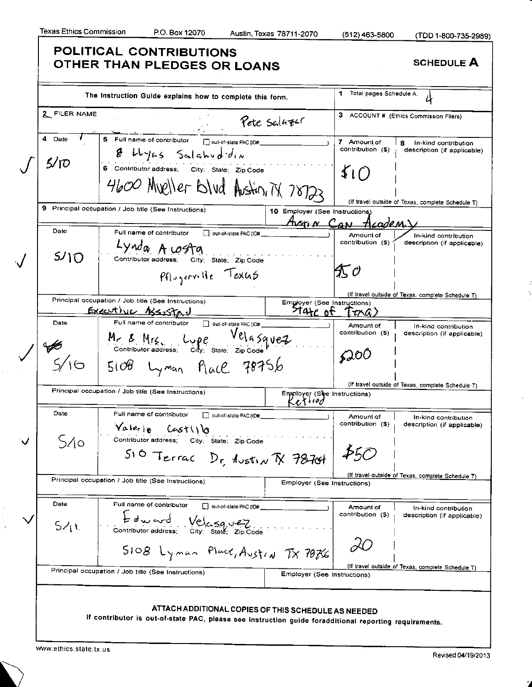$\frac{1}{3}$ 

Š,

 $\hat{\boldsymbol{\theta}}$ 

| 2 FILER NAME<br>5 Full name of contributor<br>out-of-state PAC (ID#:<br>8 Hyas Salahuddin<br>6 Contributor address; City; State; Zip Code<br>4600 Mueller Blud Austin, TX 78722 | Pete Salazer                                                                                                                                                                                                                                                         | 7 Amount of<br>contribution (\$)<br>$\mathcal{L}(f)$                                             | 3 ACCOUNT # (Ethics Commission Filers)<br>8                                                                                                                                                                |
|---------------------------------------------------------------------------------------------------------------------------------------------------------------------------------|----------------------------------------------------------------------------------------------------------------------------------------------------------------------------------------------------------------------------------------------------------------------|--------------------------------------------------------------------------------------------------|------------------------------------------------------------------------------------------------------------------------------------------------------------------------------------------------------------|
|                                                                                                                                                                                 |                                                                                                                                                                                                                                                                      |                                                                                                  | In-kind contribution                                                                                                                                                                                       |
|                                                                                                                                                                                 |                                                                                                                                                                                                                                                                      |                                                                                                  | description (if applicable)                                                                                                                                                                                |
|                                                                                                                                                                                 |                                                                                                                                                                                                                                                                      |                                                                                                  |                                                                                                                                                                                                            |
|                                                                                                                                                                                 |                                                                                                                                                                                                                                                                      |                                                                                                  |                                                                                                                                                                                                            |
|                                                                                                                                                                                 |                                                                                                                                                                                                                                                                      |                                                                                                  |                                                                                                                                                                                                            |
| 9 Principal occupation / Job title (See Instructions)                                                                                                                           |                                                                                                                                                                                                                                                                      |                                                                                                  | (If travel outside of Texas, complete Schedule T)                                                                                                                                                          |
|                                                                                                                                                                                 |                                                                                                                                                                                                                                                                      |                                                                                                  |                                                                                                                                                                                                            |
| Lynda A costa                                                                                                                                                                   |                                                                                                                                                                                                                                                                      | contribution (\$)                                                                                | In-kind contribution<br>description (if applicable)                                                                                                                                                        |
| Pflogerville Texus                                                                                                                                                              |                                                                                                                                                                                                                                                                      | $\mathcal{K}$ 0                                                                                  |                                                                                                                                                                                                            |
|                                                                                                                                                                                 |                                                                                                                                                                                                                                                                      |                                                                                                  | (If travel outside of Texas, complete Schedule T)                                                                                                                                                          |
|                                                                                                                                                                                 |                                                                                                                                                                                                                                                                      | $T\tau\lambda a$ )                                                                               |                                                                                                                                                                                                            |
| Full name of contributor<br>out-of-state PAC (ID#:                                                                                                                              |                                                                                                                                                                                                                                                                      | Amount of                                                                                        | In-kind contribution                                                                                                                                                                                       |
|                                                                                                                                                                                 |                                                                                                                                                                                                                                                                      |                                                                                                  | description (if applicable)                                                                                                                                                                                |
|                                                                                                                                                                                 |                                                                                                                                                                                                                                                                      |                                                                                                  |                                                                                                                                                                                                            |
|                                                                                                                                                                                 |                                                                                                                                                                                                                                                                      |                                                                                                  | (If travel outside of Texas, complete Schedule T)                                                                                                                                                          |
|                                                                                                                                                                                 |                                                                                                                                                                                                                                                                      |                                                                                                  |                                                                                                                                                                                                            |
| out-of-state PAC (ID#:<br>Valerie Castillo                                                                                                                                      |                                                                                                                                                                                                                                                                      | Amount of<br>contribution (\$)                                                                   | In-kind contribution<br>description (if applicable)                                                                                                                                                        |
| praduress; City; State; ZipCode                                                                                                                                                 |                                                                                                                                                                                                                                                                      | 450                                                                                              |                                                                                                                                                                                                            |
|                                                                                                                                                                                 |                                                                                                                                                                                                                                                                      |                                                                                                  | (If travel outside of Texas, complete Schedule T)                                                                                                                                                          |
|                                                                                                                                                                                 |                                                                                                                                                                                                                                                                      |                                                                                                  |                                                                                                                                                                                                            |
| Full name of contributor                                                                                                                                                        |                                                                                                                                                                                                                                                                      | Amount of<br>contribution (\$)                                                                   | In-kind contribution<br>description (if applicable)                                                                                                                                                        |
|                                                                                                                                                                                 |                                                                                                                                                                                                                                                                      |                                                                                                  |                                                                                                                                                                                                            |
| t du cod Velcaguez                                                                                                                                                              |                                                                                                                                                                                                                                                                      |                                                                                                  |                                                                                                                                                                                                            |
| 5108 Lynan Place, Austin TX 70766<br>Principal occupation / Job title (See Instructions)                                                                                        |                                                                                                                                                                                                                                                                      |                                                                                                  | (If travel outside of Texas, complete Schedule T)                                                                                                                                                          |
|                                                                                                                                                                                 | Contributor address:<br>City; State; Zip Code<br>Principal occupation / Job title (See Instructions)<br>Executive Assistav<br>Principal occupation / Job title (See Instructions)<br>Full name of contributor<br>Principal occupation / Job title (See Instructions) | Mr & Mrs. Lupe Vela squez<br>$5108$ Lyman Place 78756<br>$510$ Terrac Dr. Austin $\bar{N}$ 78701 | 10 Employer (See Instructions)<br>Aven N Can<br>HcadeM)<br>Amount of<br>Employer (See Instructions)<br>state of<br>contribution (\$)<br>6200<br>Employer (See Instructions)<br>Employer (See Instructions) |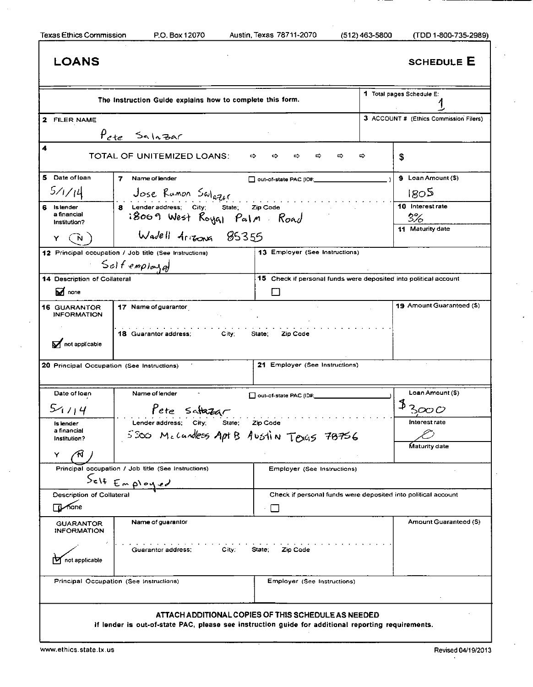| <b>LOANS</b>                                                 |                                                                                                    |                                                                               |   | <b>SCHEDULE E</b>                          |
|--------------------------------------------------------------|----------------------------------------------------------------------------------------------------|-------------------------------------------------------------------------------|---|--------------------------------------------|
|                                                              | The Instruction Guide explains how to complete this form.                                          |                                                                               |   | 1 Total pages Schedule E:                  |
| 2 FILER NAME                                                 |                                                                                                    |                                                                               |   | 3 ACCOUNT # (Ethics Commission Filers)     |
|                                                              | Pete Salazar                                                                                       |                                                                               |   |                                            |
| 4                                                            | TOTAL OF UNITEMIZED LOANS:                                                                         | ⇨<br>⇨<br>⇔<br>⇨<br>⇨                                                         | ⇨ | \$                                         |
| 5 Date of loan                                               | 7<br>Name of lender                                                                                | out-of-state PAC (ID#:                                                        |   | 9 Loan Amount (\$)                         |
| 5/1/14                                                       | Jose Rumon Swlgger                                                                                 |                                                                               |   | 180 <sup>5</sup>                           |
| 6 Islender<br>a financial<br>Institution?                    | 8 Lender address; City; State;<br>Zip Code<br>i8009 West Royal Palm Road                           |                                                                               |   | 10 Interest rate<br>3%<br>11 Maturity date |
| Y                                                            | Wadell Arrizons 85355                                                                              |                                                                               |   |                                            |
|                                                              | 12 Principal occupation / Job title (See Instructions)<br>Self employed                            | 13 Employer (See Instructions)                                                |   |                                            |
| 14 Description of Collateral                                 |                                                                                                    | 15 Check if personal funds were deposited into political account              |   |                                            |
| M <sub>none</sub>                                            |                                                                                                    |                                                                               |   |                                            |
| <b>16 GUARANTOR</b><br><b>INFORMATION</b>                    | 17 Name of guarantor                                                                               |                                                                               |   | 19 Amount Guaranteed (\$)                  |
| not applicable<br>20 Principal Occupation (See Instructions) | 18 Guarantor address:<br>City;                                                                     | State;<br>Zip Code<br>21 Employer (See Instructions)                          |   |                                            |
|                                                              |                                                                                                    |                                                                               |   |                                            |
| Date of loan                                                 | Name of lender                                                                                     | out-of-state PAC (ID#:                                                        |   | Loan Amount (\$)                           |
| 5114                                                         | Pete saturar                                                                                       |                                                                               |   | 3000                                       |
| Islender<br>a financial<br>Institution?                      | <b>State</b><br>Lender address: City:<br>5500 Mecandless Apt B Austin Toxas 78756                  | Zip Code                                                                      |   | Interest rate                              |
| Y                                                            |                                                                                                    |                                                                               |   | Maturity date                              |
|                                                              | Principal occupation / Job title (See Instructions)                                                | Employer (See Instructions)                                                   |   |                                            |
|                                                              | Self Employed                                                                                      |                                                                               |   |                                            |
| <b>Description of Collateral</b><br>⊺Li⊿fione                |                                                                                                    | Check if personal funds were deposited into political account<br>$\mathbf{I}$ |   |                                            |
| <b>GUARANTOR</b><br><b>INFORMATION</b>                       | Name of guarantor                                                                                  |                                                                               |   | Amount Guaranteed (S)                      |
| not applicable                                               | Guarantor address:<br>City:                                                                        | State;<br>Zip Code                                                            |   |                                            |
|                                                              | Principal Occupation (See Instructions)                                                            | <b>Employer (See Instructions)</b>                                            |   |                                            |
|                                                              | If lender is out-of-state PAC, please see instruction guide for additional reporting requirements. | ATTACH ADDITIONAL COPIES OF THIS SCHEDULE AS NEEDED                           |   |                                            |

 $\blacksquare$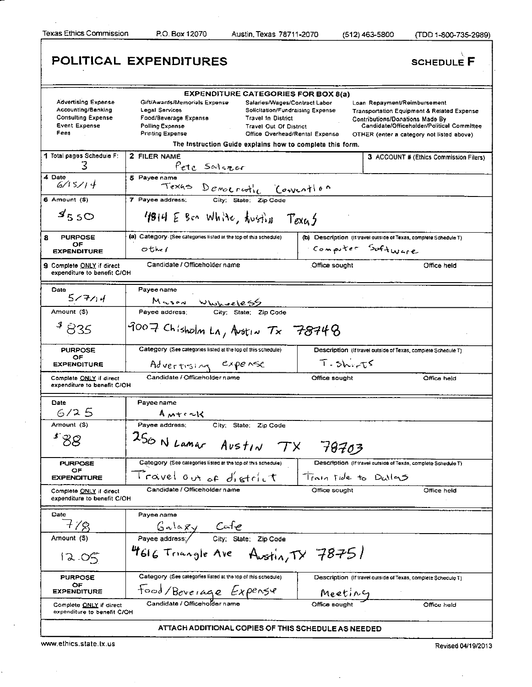Texas Ethics Commission P.O. Box 12070 Austin, Texas 78711-2070 (512)463-5800 (TDD 1-800-735-2989)

|                                                                                                        | POLITICAL EXPENDITURES                                                                                                                                                                                                                                                                                                                                                                                 | <b>SCHEDULE F</b>                                                                                                                                                                                                          |
|--------------------------------------------------------------------------------------------------------|--------------------------------------------------------------------------------------------------------------------------------------------------------------------------------------------------------------------------------------------------------------------------------------------------------------------------------------------------------------------------------------------------------|----------------------------------------------------------------------------------------------------------------------------------------------------------------------------------------------------------------------------|
| <b>Advertising Expense</b><br>Accounting/Banking<br><b>Consulting Expense</b><br>Event Expense<br>Fees | <b>EXPENDITURE CATEGORIES FOR BOX 8(a)</b><br>Gift/Awards/Memorials Expense<br>Salaries/Wages/Contract Labor<br>Legal Services<br>Solicitation/Fundraising Expense<br>Food/Beverage Expense<br><b>Travel In District</b><br>Polling Expense<br><b>Travel Out Of District</b><br><b>Printing Expense</b><br>Office Overhead/Rental Expense<br>The Instruction Guide explains how to complete this form. | Loan Repayment/Reimbursement<br><b>Transportation Equipment &amp; Related Expense</b><br><b>Contributions/Donations Made By</b><br>Candidate/Officeholder/Political Committee<br>OTHER (enter a category not listed above) |
| 1 Total pages Schedule F:<br>3                                                                         | 2 FILER NAME<br>Pete Salezor                                                                                                                                                                                                                                                                                                                                                                           | 3 ACCOUNT # (Ethics Commission Filers)                                                                                                                                                                                     |
| 4 Date<br>6/15/14                                                                                      | 5 Payee name<br>Texas Democratic Convention                                                                                                                                                                                                                                                                                                                                                            |                                                                                                                                                                                                                            |
| $6$ Amount $(5)$                                                                                       | 7 Payee address;<br>City; State; Zip Code                                                                                                                                                                                                                                                                                                                                                              |                                                                                                                                                                                                                            |
| 9550                                                                                                   | 1814 E Ben White, twisting Texas                                                                                                                                                                                                                                                                                                                                                                       |                                                                                                                                                                                                                            |
| 8<br><b>PURPOSE</b><br>ОF                                                                              | (a) Category (See categories listed at the top of this schedule)                                                                                                                                                                                                                                                                                                                                       | (b) Description (If travel outside of Texas, complete Schedule T)                                                                                                                                                          |
| <b>EXPENDITURE</b>                                                                                     | other                                                                                                                                                                                                                                                                                                                                                                                                  | Computer Software                                                                                                                                                                                                          |
| 9 Complete ONLY if direct<br>expenditure to benefit C/OH                                               | Candidate / Officeholder name                                                                                                                                                                                                                                                                                                                                                                          | Office held<br>Office sought                                                                                                                                                                                               |
| Date<br>577/14                                                                                         | Payee name                                                                                                                                                                                                                                                                                                                                                                                             |                                                                                                                                                                                                                            |
| Amount (\$)                                                                                            | M wson Whywoele = 5<br>Payee address; City; State; Zip Code                                                                                                                                                                                                                                                                                                                                            |                                                                                                                                                                                                                            |
| $^{4}835$                                                                                              | $9007$ Chisholm LA, Austin $T_x$ 78748                                                                                                                                                                                                                                                                                                                                                                 |                                                                                                                                                                                                                            |
| <b>PURPOSE</b><br>OF                                                                                   | Category (See categories listed at the top of this schedule)                                                                                                                                                                                                                                                                                                                                           | Description (If travel outside of Texas, complete Schedule T)                                                                                                                                                              |
| <b>EXPENDITURE</b>                                                                                     | Advertising expense                                                                                                                                                                                                                                                                                                                                                                                    | $T - 5h - T5$                                                                                                                                                                                                              |
| Complete ONLY if direct<br>expenditure to benefit C/OH                                                 | Candidate / Officeholder name                                                                                                                                                                                                                                                                                                                                                                          | Office sought<br>Office held                                                                                                                                                                                               |
| Date                                                                                                   | Payee name                                                                                                                                                                                                                                                                                                                                                                                             |                                                                                                                                                                                                                            |
| 6/25                                                                                                   | $A$ $M + c \sim 1$                                                                                                                                                                                                                                                                                                                                                                                     |                                                                                                                                                                                                                            |
| Amount (S)                                                                                             | City; State; Zip Code<br>Payee address;                                                                                                                                                                                                                                                                                                                                                                |                                                                                                                                                                                                                            |
| $\boldsymbol{f}$ $\boldsymbol{\zeta}$<br>88                                                            | $250$ N Lamar Austin TX 78703                                                                                                                                                                                                                                                                                                                                                                          |                                                                                                                                                                                                                            |
| <b>PURPOSE</b><br>OF                                                                                   | Category (See categories listed at the top of this schedule)                                                                                                                                                                                                                                                                                                                                           | Description (If travel outside of Texas, complete Schedule T)                                                                                                                                                              |
| <b>EXPENDITURE</b>                                                                                     | Travel out of district                                                                                                                                                                                                                                                                                                                                                                                 | Train ride to Dullas                                                                                                                                                                                                       |
| Complete ONLY if direct<br>expenditure to benefit C/OH                                                 | Candidate / Officeholder name                                                                                                                                                                                                                                                                                                                                                                          | Office sought<br>Office held                                                                                                                                                                                               |
| Date                                                                                                   | Pavee name                                                                                                                                                                                                                                                                                                                                                                                             |                                                                                                                                                                                                                            |
| $+78$                                                                                                  | $G \sim 1 \propto x$<br>Payee address / City; State: Zip Code                                                                                                                                                                                                                                                                                                                                          |                                                                                                                                                                                                                            |
| Amount (S)                                                                                             |                                                                                                                                                                                                                                                                                                                                                                                                        |                                                                                                                                                                                                                            |
| 1205                                                                                                   | 4616 Triangle Ave Austin, TY 78751                                                                                                                                                                                                                                                                                                                                                                     |                                                                                                                                                                                                                            |
| <b>PURPOSE</b>                                                                                         | Category (See categories listed at the top of this schedule)                                                                                                                                                                                                                                                                                                                                           | Description (If travel outside of Texas, complete Schedule T)                                                                                                                                                              |
| OF<br><b>EXPENDITURE</b>                                                                               | Food/Beverage Expense                                                                                                                                                                                                                                                                                                                                                                                  | <u>Meeting</u>                                                                                                                                                                                                             |
| Complete ONLY if direct<br>expenditure to benefit C/OH                                                 | Candidate / Officeholder nam                                                                                                                                                                                                                                                                                                                                                                           | Office sought<br>Office held                                                                                                                                                                                               |
|                                                                                                        | ATTACH ADDITIONAL COPIES OF THIS SCHEDULE AS NEEDED                                                                                                                                                                                                                                                                                                                                                    |                                                                                                                                                                                                                            |

www.ethics.state.tx.us Revised 04/19/2013

 $\overline{a}$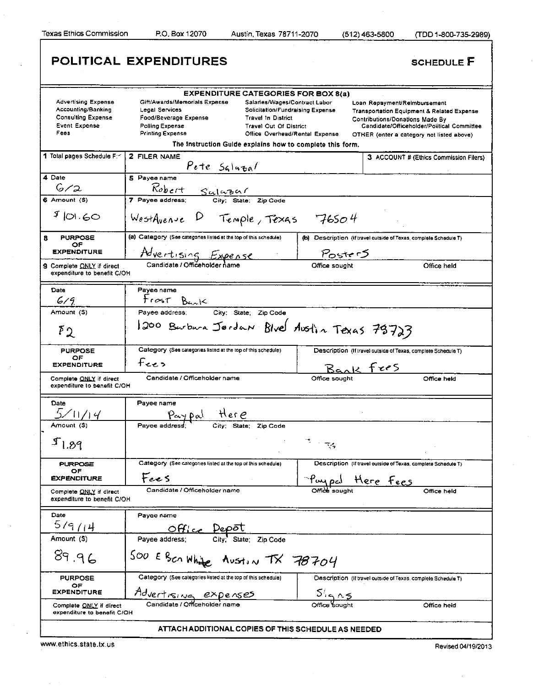Г

Texas Ethics Commission P.O. Box 12070 Austin, Texas 78711-2070 (512)463-5800 (TDD 1-800-735-2989)

|                                                                                                               | POLITICAL EXPENDITURES                                                                                                                                                                                                                                                                                                                                                                          | <b>SCHEDULE F</b>                                                                                                                                                                                                   |
|---------------------------------------------------------------------------------------------------------------|-------------------------------------------------------------------------------------------------------------------------------------------------------------------------------------------------------------------------------------------------------------------------------------------------------------------------------------------------------------------------------------------------|---------------------------------------------------------------------------------------------------------------------------------------------------------------------------------------------------------------------|
| <b>Advertising Expense</b><br>Accounting/Banking<br><b>Consulting Expense</b><br><b>Event Expense</b><br>Fees | <b>EXPENDITURE CATEGORIES FOR BOX 8(a)</b><br>Gift/Awards/Memorials Expense<br>Salaries/Wages/Contract Labor<br>Legal Services<br>Solicitation/Fundraising Expense<br>Food/Beverage Expense<br><b>Travel In District</b><br>Polling Expense<br>Travel Out Of District<br><b>Printing Expense</b><br>Office Overhead/Rental Expense<br>The Instruction Guide explains how to complete this form. | Loan Repayment/Reimbursement<br><b>Transportation Equipment &amp; Related Expense</b><br>Contributions/Donations Made By<br>Candidate/Officeholder/Political Committee<br>OTHER (enter a category not listed above) |
| 1 Total pages Schedule F: 1                                                                                   | <b>2 FILER NAME</b><br>$P$ ete $S$ gla $\tau$ al                                                                                                                                                                                                                                                                                                                                                | 3 ACCOUNT # (Ethics Commission Filers)                                                                                                                                                                              |
| 4 Date<br>6/2                                                                                                 | 5 Payee name<br>$\frac{R_{\text{object}} + S_{\text{cluster}}}{7 \text{ Page address}}$<br>7 Payee address; City: State: Zip Code                                                                                                                                                                                                                                                               |                                                                                                                                                                                                                     |
| 6 Amount (\$)<br>90.60                                                                                        | WestAvenue D Temple, Texas 76504                                                                                                                                                                                                                                                                                                                                                                |                                                                                                                                                                                                                     |
| <b>PURPOSE</b><br>8<br>OF                                                                                     | (a) Category (See categories listed at the top of this schedule)                                                                                                                                                                                                                                                                                                                                | (b) Description (if travel outside of Texas, complete Schedule T)                                                                                                                                                   |
| <b>EXPENDITURE</b>                                                                                            | Advertising Expense                                                                                                                                                                                                                                                                                                                                                                             | PosterS                                                                                                                                                                                                             |
| <b>9</b> Complete ONLY if direct<br>expenditure to benefit C/OH                                               | Candidate / Officeholder name                                                                                                                                                                                                                                                                                                                                                                   | Office sought<br>Office held                                                                                                                                                                                        |
| Date                                                                                                          | Payee name                                                                                                                                                                                                                                                                                                                                                                                      |                                                                                                                                                                                                                     |
| 6/9                                                                                                           | Frost Bank                                                                                                                                                                                                                                                                                                                                                                                      |                                                                                                                                                                                                                     |
| Amount (\$)<br>$\mathfrak{p}_2$                                                                               | Payee address; City; State; Zip Code<br>1200 Barbara Jordan Blve Austin Texas 78723                                                                                                                                                                                                                                                                                                             |                                                                                                                                                                                                                     |
| <b>PURPOSE</b><br>ОF<br><b>EXPENDITURE</b><br>Complete ONLY if direct<br>expenditure to benefit C/OH          | Category (See categories listed at the top of this schedule)<br>$f$ ers<br>Candidate / Officeholder name                                                                                                                                                                                                                                                                                        | Description (If travel outside of Texas, complete Schedule T)<br>Bank fres<br>Office sought<br>Office held                                                                                                          |
| Date<br>$5\sqrt{11/14}$                                                                                       | Payee name<br>Pay pal Here<br>continued City: State: Zip Code                                                                                                                                                                                                                                                                                                                                   |                                                                                                                                                                                                                     |
| Amount (S)                                                                                                    |                                                                                                                                                                                                                                                                                                                                                                                                 |                                                                                                                                                                                                                     |
| $I_{1.89}$                                                                                                    |                                                                                                                                                                                                                                                                                                                                                                                                 | $\tilde{\gamma}$ in $\tilde{\gamma}_3$                                                                                                                                                                              |
| <b>PURPOSE</b>                                                                                                | Category (See categories listed at the top of this schedule)                                                                                                                                                                                                                                                                                                                                    | Description (If travel outside of Texas, complete Schedule T)                                                                                                                                                       |
| OF<br><b>EXPENDITURE</b>                                                                                      | Fees                                                                                                                                                                                                                                                                                                                                                                                            | Her <u>e Fees</u>                                                                                                                                                                                                   |
| Complete ONLY if direct<br>expenditure to benefit C/OH                                                        | Candidate / Officeholder name                                                                                                                                                                                                                                                                                                                                                                   | $\frac{\rho_{\text{out}}}{{\text{Omega}}^2}$<br>Office held                                                                                                                                                         |
| Date                                                                                                          | Payee name                                                                                                                                                                                                                                                                                                                                                                                      |                                                                                                                                                                                                                     |
| 5/9/14                                                                                                        | Office Depôt<br>Payee address; City; State; Zip Code                                                                                                                                                                                                                                                                                                                                            |                                                                                                                                                                                                                     |
| Amount (\$)                                                                                                   |                                                                                                                                                                                                                                                                                                                                                                                                 |                                                                                                                                                                                                                     |
| 89.96                                                                                                         | 500 E BEANING AUSTIN TX 78704                                                                                                                                                                                                                                                                                                                                                                   |                                                                                                                                                                                                                     |
| <b>PURPOSE</b>                                                                                                | Category (See categories listed at the top of this schedule)                                                                                                                                                                                                                                                                                                                                    | Description (If travel outside of Texas, complete Schedule T)                                                                                                                                                       |
| OF<br><b>EXPENDITURE</b>                                                                                      |                                                                                                                                                                                                                                                                                                                                                                                                 | $\frac{5/16}{{\rm Office}~{\rm Soundb}}$                                                                                                                                                                            |
| Complete ONLY if direct<br>expenditure to benefit C/OH                                                        | Advertising expenses                                                                                                                                                                                                                                                                                                                                                                            | Office held                                                                                                                                                                                                         |
|                                                                                                               | ATTACH ADDITIONAL COPIES OF THIS SCHEDULE AS NEEDED                                                                                                                                                                                                                                                                                                                                             |                                                                                                                                                                                                                     |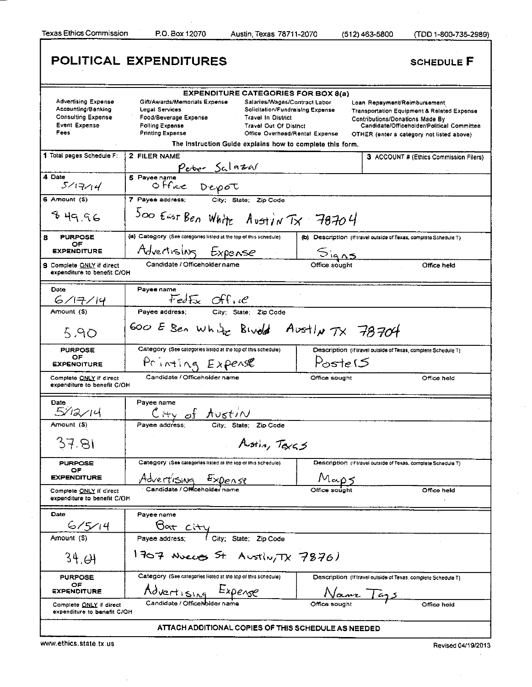Texas Ethics Commission RO. Box 12070 Austin, Texas 78711-2070 (512) 463-5800 (TDD 1 -800-735-2989)

|                                                                                                        | POLITICAL EXPENDITURES                                                                                                                                                                                                                                                                                                                                   | <b>SCHEDULE F</b>                                                                                                                                                                                                          |
|--------------------------------------------------------------------------------------------------------|----------------------------------------------------------------------------------------------------------------------------------------------------------------------------------------------------------------------------------------------------------------------------------------------------------------------------------------------------------|----------------------------------------------------------------------------------------------------------------------------------------------------------------------------------------------------------------------------|
|                                                                                                        | <b>EXPENDITURE CATEGORIES FOR BOX 8(a)</b>                                                                                                                                                                                                                                                                                                               |                                                                                                                                                                                                                            |
| <b>Advertising Expense</b><br>Accounting/Banking<br><b>Consulting Expense</b><br>Event Expense<br>Fees | Gift/Awards/Memorials Expense<br>Salaries/Wages/Contract Labor<br>Legal Services<br>Solicitation/Fundraising Expense<br>Food/Beverage Expense<br><b>Travel In District</b><br>Polling Expense<br><b>Travel Out Of District</b><br><b>Printing Expense</b><br>Office Overhead/Rental Expense<br>The Instruction Guide explains how to complete this form. | Loan Repayment/Reimbursement<br><b>Transportation Equipment &amp; Related Expense</b><br><b>Contributions/Donations Made By</b><br>Candidate/Officeholder/Political Committee<br>OTHER (enter a category not listed above) |
| 1 Total pages Schedule F:                                                                              | 2 FILER NAME                                                                                                                                                                                                                                                                                                                                             | 3 ACCOUNT # (Ethics Commission Filers)                                                                                                                                                                                     |
|                                                                                                        |                                                                                                                                                                                                                                                                                                                                                          |                                                                                                                                                                                                                            |
| 4 Date<br>5/17/14                                                                                      | Peter Salazar<br>Office Depot<br>5 Payee name                                                                                                                                                                                                                                                                                                            |                                                                                                                                                                                                                            |
| 6 Amount (\$)                                                                                          | City; State; Zip Code<br>7 Payee address;                                                                                                                                                                                                                                                                                                                |                                                                                                                                                                                                                            |
| 849.96                                                                                                 | Soo East Ben White Avstin Tx 78704                                                                                                                                                                                                                                                                                                                       |                                                                                                                                                                                                                            |
| <b>PURPOSE</b><br>8                                                                                    | (a) Category (See categories listed at the top of this schedule)                                                                                                                                                                                                                                                                                         | (b) Description (if travel outside of Texas, complete Schedule T)                                                                                                                                                          |
| ОF<br><b>EXPENDITURE</b>                                                                               | Advertising Expense                                                                                                                                                                                                                                                                                                                                      |                                                                                                                                                                                                                            |
| 9 Complete ONLY if direct<br>expenditure to benefit C/OH                                               | Candidate / Officeholder name                                                                                                                                                                                                                                                                                                                            | Signs<br>Office held                                                                                                                                                                                                       |
| Date                                                                                                   | Payee name                                                                                                                                                                                                                                                                                                                                               |                                                                                                                                                                                                                            |
| 6/77/14                                                                                                | FedEx Office                                                                                                                                                                                                                                                                                                                                             |                                                                                                                                                                                                                            |
| Amount (\$)                                                                                            | City: State; Zip Code<br>Payee address:                                                                                                                                                                                                                                                                                                                  |                                                                                                                                                                                                                            |
| 5.90                                                                                                   | Goo E Sen white Bived Austly TX 78704                                                                                                                                                                                                                                                                                                                    |                                                                                                                                                                                                                            |
| <b>PURPOSE</b>                                                                                         | Category (See categories listed at the top of this schedule)                                                                                                                                                                                                                                                                                             | Description (If travel outside of Texas, complete Schedule T)                                                                                                                                                              |
| OF<br><b>EXPENDITURE</b>                                                                               | Printing Expense                                                                                                                                                                                                                                                                                                                                         | $Poste$ $5$                                                                                                                                                                                                                |
| Complete ONLY if direct<br>expenditure to benefit C/OH                                                 | Candidate / Officeholder name                                                                                                                                                                                                                                                                                                                            | Office sought<br>Office held                                                                                                                                                                                               |
| Date                                                                                                   | Pavee name                                                                                                                                                                                                                                                                                                                                               |                                                                                                                                                                                                                            |
| 5/12/14                                                                                                | $C + y$ of $A \cup \{t \} \wedge$<br>City State: Zip Code                                                                                                                                                                                                                                                                                                |                                                                                                                                                                                                                            |
| Amount (S)                                                                                             | Pavee address:                                                                                                                                                                                                                                                                                                                                           |                                                                                                                                                                                                                            |
| 37.81                                                                                                  | Austin, Texas                                                                                                                                                                                                                                                                                                                                            |                                                                                                                                                                                                                            |
| <b>PURPOSE</b>                                                                                         | Category (See categories listed at the top of this schedule)                                                                                                                                                                                                                                                                                             | Description (if travel outside of Texas, complete Schedule T)                                                                                                                                                              |
| OF<br><b>EXPENDITURE</b>                                                                               | Advertising Expense                                                                                                                                                                                                                                                                                                                                      | $M_{\text{exp}}$                                                                                                                                                                                                           |
| Complete ONLY if direct<br>expenditure to benefit C/OH                                                 |                                                                                                                                                                                                                                                                                                                                                          | Office held                                                                                                                                                                                                                |
| Date                                                                                                   | Payee name                                                                                                                                                                                                                                                                                                                                               |                                                                                                                                                                                                                            |
| 6/5/14                                                                                                 |                                                                                                                                                                                                                                                                                                                                                          |                                                                                                                                                                                                                            |
| Amount (\$)                                                                                            | Bott City<br>Payee address; (City; State; Zip Code)                                                                                                                                                                                                                                                                                                      |                                                                                                                                                                                                                            |
| 34.GH                                                                                                  | 1707 Nueces St. Austin, TX 7876)                                                                                                                                                                                                                                                                                                                         |                                                                                                                                                                                                                            |
| <b>PURPOSE</b>                                                                                         | Category (See categories listed at the top of this schedule)                                                                                                                                                                                                                                                                                             | Description (if travel outside of Texas, complete Schedule T)                                                                                                                                                              |
| OF<br><b>EXPENDITURE</b>                                                                               | Advertising Expense                                                                                                                                                                                                                                                                                                                                      |                                                                                                                                                                                                                            |
| Complete ONLY if direct<br>expenditure to benefit C/OH                                                 | Candidate / OfficeNol                                                                                                                                                                                                                                                                                                                                    | Name Tags<br>Office held                                                                                                                                                                                                   |
|                                                                                                        | ATTACH ADDITIONAL COPIES OF THIS SCHEDULE AS NEEDED                                                                                                                                                                                                                                                                                                      |                                                                                                                                                                                                                            |

www.ethics.state.tx.us Revised 04/19/2013

 $\bar{z}$